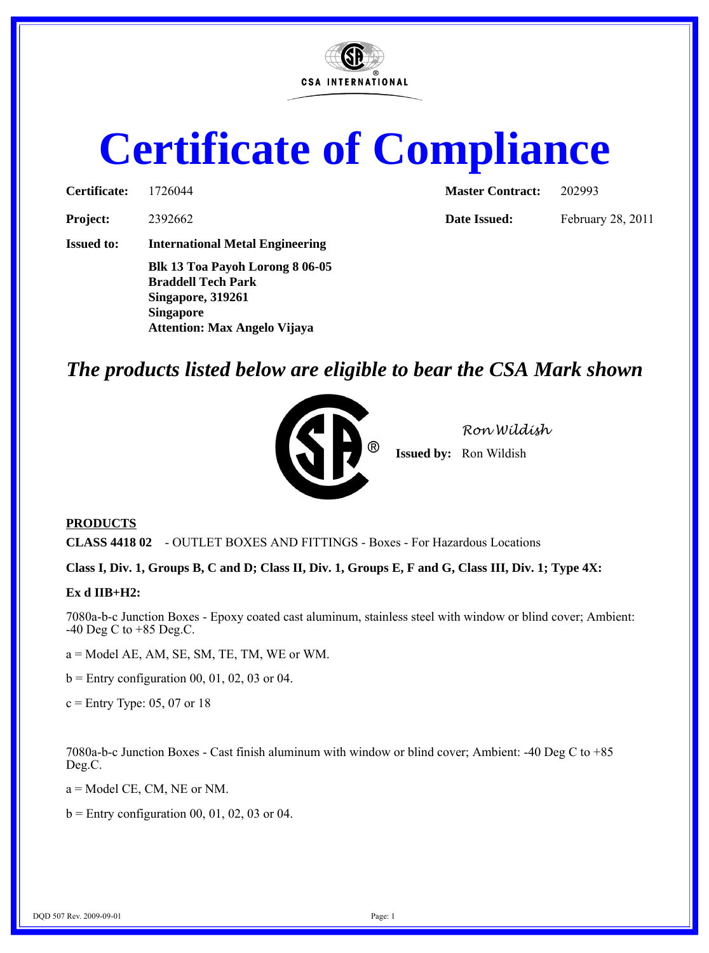

# **Certificate of Compliance**

| Certificate: 1726044 |                                                                                                                                              |  |
|----------------------|----------------------------------------------------------------------------------------------------------------------------------------------|--|
| <b>Project:</b>      | 2392662                                                                                                                                      |  |
| <b>Issued to:</b>    | <b>International Metal Engineering</b>                                                                                                       |  |
|                      | Blk 13 Toa Payoh Lorong 8 06-05<br><b>Braddell Tech Park</b><br>Singapore, 319261<br><b>Singapore</b><br><b>Attention: Max Angelo Vijaya</b> |  |

**Master Contract:** 202993

**Project: Project:** February 28, 2011

## *The products listed below are eligible to bear the CSA Mark shown*



*Ron Wildish*

**Issued by:** Ron Wildish

### **PRODUCTS**

**CLASS 4418 02** - OUTLET BOXES AND FITTINGS - Boxes - For Hazardous Locations

**Class I, Div. 1, Groups B, C and D; Class II, Div. 1, Groups E, F and G, Class III, Div. 1; Type 4X:**

#### **Ex d IIB+H2:**

7080a-b-c Junction Boxes - Epoxy coated cast aluminum, stainless steel with window or blind cover; Ambient:  $-40$  Deg C to  $+85$  Deg.C.

 $a =$  Model AE, AM, SE, SM, TE, TM, WE or WM.

 $b =$  Entry configuration 00, 01, 02, 03 or 04.

 $c =$  Entry Type: 05, 07 or 18

7080a-b-c Junction Boxes - Cast finish aluminum with window or blind cover; Ambient: -40 Deg C to +85 Deg.C.

a = Model CE, CM, NE or NM.

 $b =$  Entry configuration 00, 01, 02, 03 or 04.